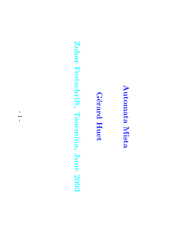Automata Automata Mista

June

G´erard Huet

 $\mathbf{Z}$ ohar Festschrift, Taormina, 2003

-  $\overline{\phantom{0}}$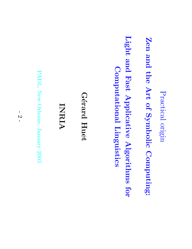Practical Practical origin

Zen and the Art of Symbolic Computing:

Light and Computational Linguistics Computational Fast Applicative Linguistics Algorithms for

G´erard Huet

INRIA

PADL, New Orleans, January 2003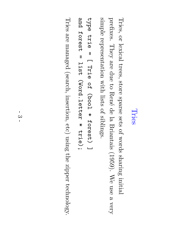### Tries

Tries, or lexical trees, store sparse sets of words sharing initial prefixes. They are due  $\Xi$ Ren´e a<br>P  $\Xi$ Briantais (1959).  $\mathbb{N}_\Theta$ use  $\mathbf \varphi$ very simple representation with lists of siblings.

type e<br>Frie  $\mathbf{I}$  $\Box$ a<br>Frie O<br>H (bool  $\ast$ forest) ا سا and<br>P forest  $\mathbf{I}$ list<br>1<br>1 (Word.letter  $\ast$ trie);

Tries are managed (search, insertion, etc) using the zipper technology.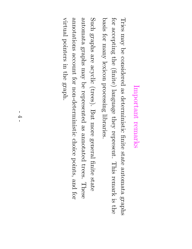# Important remarks

Tries  $\Lambda$ e $\rm{uu}$  $\operatorname*{g}\nolimits$ considered e<br>S deterministic finite state automata graphs for accepting the  $(\mathrm{finite})$ language they represent. This remark  $\Xi.$ the basis for  $\Lambda$ urg $\rm{u}$ lexicon processing libraries.

Such graphs are<br>O acyclic (trees). But more general finite state automata graphs  $\Lambda$ e $\rm{u}$  $\operatorname*{g}\nolimits$ represented e<br>So annotated trees. These annotations account for non-deterministic choice points, and for virtual pointers in the graph.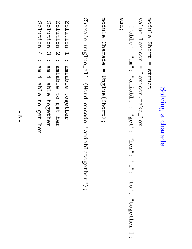### Solving  $\boldsymbol{\mathsf{\Omega}}$ charade

```
module value lexicon Short = annct
             struct
```
 $\mathbf{I}$ 

```
Lexicon.make_lex
 ["able"; "am"; "amiable"; "get"; "her"; =<br>.பு<br>. .
 "<br>to";
"together"];
```
end;

```
module
   Charade \mathbf{I}Unglue(Short);
```
Charade.unglue\_all (Word.encode Charade.unglue\_all (Word.encode "amiabletogether"); "amiabletogether");

```
Solution \overline{\phantom{0}}: amiable together
                      Solution \overline{\mathcal{C}}: amiable ರ<br>೧
                   po<br>Po
                      her
   Solution Solution 3
 : e<br>B
   Ē.
   a<br>D<br>D
together
```
Solution 4 noition 4

:

م<br>آ

Ē.

a<br>D<br>D

ರ<br>೧

po<br>A<br>T

her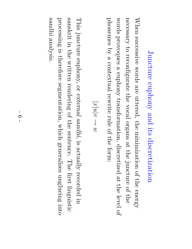### $\operatorname{Jundeture}$ euphony and its discretization

When successive words are uttered, the minimization of the energy necessary  $\Xi$ reconfigurate the vocal organs ည $\frac{\infty}{2}$ the juncture of the words provoques a euphony transformation, discretized ည $\frac{\bf p} {\bf p}$ the level of phonemes  $\mathcal{\overset{\sim}{Q}}$  $\boldsymbol{\omega}$ contextual rewrite rule of the form:

$$
x]u|v \rightarrow w
$$

[

This juncture euphony, or external sandhi,  $\Xi.$  $\operatorname{argmin}$ recorded in sanskrit in.<br>I the written rendering of the<br>P sentence. The first linguistic processing  $\Xi.$ therefore segmentation, which generalises unglueing into sandhi analysis.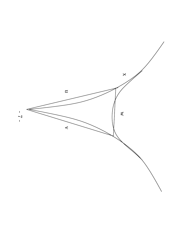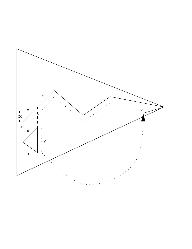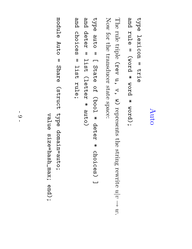### Auto

type lexicon = **a**<br>Frie and rule  $\mathbf{I}$ (word  $\ast$ word  $\ast$ word);

The rule triple (rev u,  $\prec$  $\mathcal{\mathcal{\mathcal{\mathcal{L}}}}%$ represents the string rewrite  $\frac{n}{\alpha}$  $\downarrow$  $\mathcal{C}$ Now for the transducer state space:

type auto  $\mathbf{I}$  $\Box$ State<br>State O<br>ዙ (bool  $\ast$ deter  $\ast$ choices) ا سا and deter  $\mathbf{I}$ list<br>1<br>1 (letter  $\star$ auto) and choices  $\mathbf{I}$ list<br>1<br>1 rule;

module Auto  $\mathbf{I}$ Share (struct type domain=auto;

value size=hash\_max; end);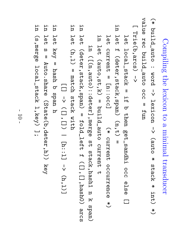Compiling the lexicon  $\mathsf{S}^{\mathsf{t}}$ <u>ဗ</u> minimal transducer

 $\widehat{*}$ build\_auto : word l<br>V lexicon l<br>V (auto  $\ast$ stack  $\ast$ int)  $\overset{*}{\smile}$ value R<br>Dec build\_auto ວ<br>ດ  $\mathbf{I}$ fun

 $\Box$ Trie(b,arcs) Trie(b,arcs) ->

ロ<br>この local\_stack  $\mathbf{I}$ 口.<br>H  $\mathbf{\overline{C}}$ then get\_sandhi ဝ<br>ဂ e<br>Da<br>O  $\Box$ p.<br>D ロ<br>この  $\mathsf{H}$ (deter,stack,span)  $(n,t)$  $\mathbf{I}$ 

ロ<br>この current  $\mathbf{I}$ [n::occ]  $\widehat{*}$ current occurrence  $\overset{\textstyle{*}}{\smile}$ i<br>P ロ<br>この (auto,st,k)  $\mathbf{I}$ build\_auto current ct

p.<br>P ([(n,auto)::deter],merge の<br>イ stack,hash1  $\rm\Xi$ k span) in ロ<br>この (deter,stack,span)  $\mathbf{I}$ fold\_left  $\mathsf{H}$ ([],[],hash0) arcs i<br>H ロ<br>ロ<br>ワ  $(h,1)$  $\mathbf{I}$ match stack with

 $\Box$ l<br>V ([],[])  $\overline{\phantom{0}}$ [h::l] l<br>V  $(\mathtt{h},\mathtt{l})$ ]

in let key  $\mathbf{I}$ hash  $\bm{\sigma}$ span  $\bm{\mathsf{\Sigma}}$ 

in let ທ  $\mathbf{I}$ Auto.share (State(b,deter,h)) key

u<br>H (s,merge local\_stack  $1$ ,key) ب<br>. .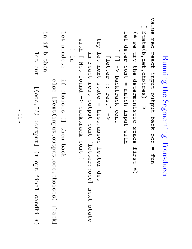Running the Segmenting Transducer value Rec react input output back occ  $\mathbf{I}$ fun  $\Box$ State(b,det,choices) l<br>V  $\widehat{*}$ ረ<br>ወ  $\zeta$ e<br>h<br>o deterministic space first  $\overset{\textstyle{*}}{\smile}$ ロ<br>この deter cont  $\mathbf{I}$ match input with  $\Box$  $\Box$ l<br>V backtrack cont | [letter ::<br>:: rest] l<br>V  $\Delta$ ロ<br>この next\_state  $\mathbf{I}$ List.assoc letter det i<br>E react rest output cont [letter::occ] next\_state with  $\Box$ Not\_found l<br>V backtrack cont ا سا ا سسا n.<br>E ロ<br>この nondets  $\mathbf{I}$ 口.<br>H choices=[] then back else [Next(input,output,oc).choices):iback]  $[\mathtt{Next}(\mathtt{input},\mathtt{out}(\mathtt{input},\mathtt{occ},\mathtt{choint})\colon\mathtt{index}$ u.<br>P 口.<br>H  $\bm{\sigma}$ then ロ<br>この out<br>4  $\mathbf{I}$ [(occ,Id)::output]  $\widehat{*}$ opt final sandhi

 $\overset{\textstyle{*}}{\smile}$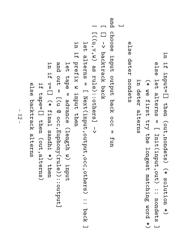e<br>Pa ロ<br>この alterns  $\mathbf{I}$  $\Box$ Init(input,out) ..<br>.. nondets اسسا  $\widehat{*}$ ፍ<br>ወ first  $\zeta$ e<br>he longest matching word  $\overset{\textstyle{*}}{\smile}$ u.<br>R deter alterns e<br>Da<br>D deter nondets اسسا and choose input output back occ  $\mathbf{I}$ fun  $\Box$  $\Box$ l<br>V backtrack back  $\overline{\phantom{0}}$  $\left[\,(\,{\rm u}\,, {\rm v}\,, {\rm v}\,, w)\,\right]$ ည<br>က rule)::others] l<br>V ロ<br>この alterns  $\mathbf{I}$  $\Box$ Next(input,output,occ,others) ::<br>:: back<br>M ] u.<br>P 口.<br>H prefix w input then ロ<br>この tape  $\mathbf{I}$ advance (length  $\mathcal{\vec{S}}$ input and<br>P out<br>4  $\mathbf{I}$ [(u @ occ,Euphony(rule))::output] n.<br>D 口.<br>H  $\mathbf{v}=[\ ]$  $\widehat{*}$ final sandhi  $\overset{\textstyle{*}}{\smile}$ then 口.<br>H tape=[] then (out,alterns) else backtrack alterns backtrack alterns

p.<br>P

口.<br>H

input=[]

then

(out,nondets)

 $\widehat{*}$ 

solution

 $\overset{\textstyle{*}}{\smile}$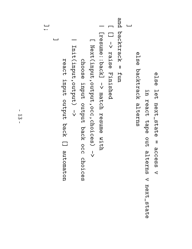i<br>P react tape out<br>4 alterns  $\prec$ else backtrack alterns backtrack alterns ا سا and backtrack  $\mathbf{I}$ fun  $\Box$  $\Box$ l<br>V raise Finished  $\overline{\phantom{0}}$ [resume::back] l<br>V match resume with  $\Box$ Next(input,output,occ,choices) l<br>V choose input output back occ choices  $\overline{\phantom{0}}$ Init(input,output) Init(input,output) -> react input output back  $\Box$ automaton ا سا ىــا<br>• •

e<br>Pa

ロ<br>この

next\_state

= access access

 $\prec$ 

next\_state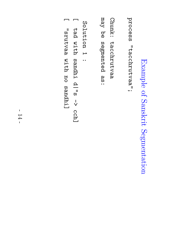# Example of Sanskrit Segmentation

process "tacchrutvaa"; process "tacchrutvaa";

Chunk: tacchrutvaa tacchrutvaa

 $\chi_{\rm{BIII}}$ ር<br>ወ segmented ထ<br>က<br>• •

Solution  $\overline{\phantom{0}}$ :

 $\Box$ բ<br>եժ with sandhi d<br>"s l<br>V cch]

 $\blacksquare$ "srutvaa with no sandhi]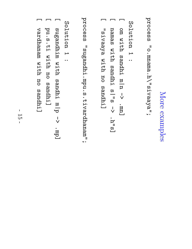### More examples

process "o.mnama.h\"sivaaya"; process "o.mnama.h\"sivaaya";

Solution  $\overline{\phantom{0}}$ :

- $\Box$ om with sandhi m|n l<br>V .<br>[UU]<br>\_
- $\Box$ namas with sandhi s<br>|<br>|<br>|<br>|<br>| l<br>V .h"s]
- $\Box$ "sivaaya with no sandhi]

process "sugandhi.mpu.s.tivardhanam"; process "sugandhi.mpu.s.tivardhanam";

Solution  $\overline{\phantom{0}}$ :

- $\Box$ sugandhim with sandhi d | u l<br>V  $\operatorname{\widetilde{L}}$
- $\Box$ pu.s.ti with no sandhi]
- $\Box$ vardhanam with no sandhi]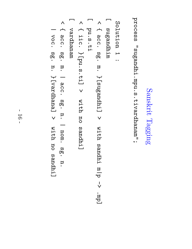# Sanskrit Tagging

process "sugandhi.mpu.s.tivardhanam"; process "sugandhi.mpu.s.tivardhanam";

- Solution  $\overline{\phantom{0}}$ :
- $\Box$ minbuegus sugandhim
- $\overline{\wedge}$  $\overline{\phantom{a}}$ ac.<br>C დ<br>ლ m.  $\{$  [sugandh $\,$ i $\,$ ]  $\checkmark$ with sandhi d | u l<br>V  $\operatorname{\widetilde{L}}$  $\Box$ pu.s.ti
- $\overline{\wedge}$  $\overline{\phantom{a}}$ i<br>iic.<br>i  $\{p\mathbf{u} \cdot \mathbf{s} \cdot \mathbf{t}$ i]  $\checkmark$ with no sandhi]
- $\Box$ meueupren vardhanam
- $\overline{\wedge}$  $\overline{\phantom{a}}$ ac.<br>C ღ.<br>თ m. | ac<br>CC. ღ.<br>თ n.  $\overline{\phantom{0}}$ nom. დ<br>ლ n.
- $\overline{\phantom{0}}$ voc. დ<br>ლ n.  $\left[\text{parallel}I\right]$  $\checkmark$ with no sandhi]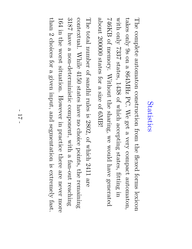#### Statistics Statistics

The complete automaton construction from the flexed forms lexicon takes only  $\Im S$ on  $\boldsymbol{\omega}$ 864MHz PC. We get  $\mathbf \varphi$ very compact automaton, with only 7337 states, 1438 of which accepting states, fitting in  $\rm H2B$ of memory. Without the sharing,  $\mathop{\otimes}\limits^{\mathop{\mathsf{M}}\nolimits}$ would have generated about 200000 states for  $\boldsymbol{\omega}$ size of 6MB!

The  $\operatorname{total}$ number of sandhi rules  $\Xi.$ 2802, of which 2411 are contextual. While 4150 states have no choice points, the remaining 318<br>28 have  $\mathbf \varphi$ non-deterministic component, with  $\mathbf \varphi$ fan-out reaching 164 in the worst situation. However in practice there are never more  ${\rm thd}$  $\mathcal{C}$ choices for  $\boldsymbol{\omega}$ given input, and segmentation  $\Xi.$  ${\rm extract}$ fast.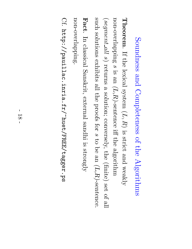### Soundness and Completeness of the Algorithms

 ${\rm Theorem}$ . If the lexical system  $(\overline{I},$  $\widehat{R})$  $\Xi.$ strict and weakly non-overlapping  $\mathbf c$  $\Xi.$ an<br>D  $(L,R)\text{-}sentence$ iff the algorithm  $(segment$  $\emph{a}$  $\mathfrak{S}$ returns  $\boldsymbol{\omega}$ solution; conversely, the<br>P  $(\mathrm{finite})$ set<br>O of  $\mathbb{E}$ such solutions exhibits  $\mathbb{E}$ the proofs for  $\mathbf c$  $\Xi$ a<br>O e<br>D  $(L,R)\text{-}sentence$ 

.

non-overlapping. non-overlapping. Fact.  $\rm \Xi$ classical Sanskrit, external sandhi  $\Xi.$  ${\rm dy}$ 

Cf. http://pauillac.inria.fr/~huet/FREE/tagger.ps http://pauillac.inria.fr/~huet/FREE/tagger.ps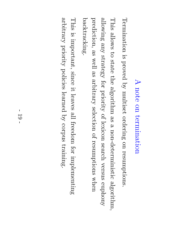#### $\blacktriangleright$ note on termination

backtracking. backtracking. prediction, allowing This Termination  $\mathrm{sol}$ l $\mathrm{low}$ s  $\rm\chi_{\rm UPS}$ e<br>S  $\Xi$  $\Xi.$ strategy well state proved e<br>So the  $\operatorname{surface}$ for  $\mathrm{sq}$ algorithm priority multiset selection of e<br>S ordering lexicon  $\boldsymbol{\mathsf{\Omega}}$ non-deterministic of resumptions on search resumptions. versus when  $\mathrm{algorithm}.$ euphony

This  $\Xi.$ important, since it. leaves  $\mathbb{E}$ freedom for implementing  $\operatorname{surface}$ priority policies learned  $\mathcal{\widetilde{Q}}$ corpus training.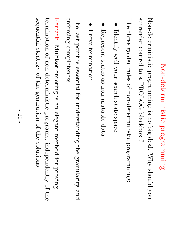# Non-deterministic programming Non-deterministic programming

Non-deterministic programming  $\Xi.$ no big<br>B deal.  $\rm \chi hy$ should you surrender control  $\Xi$  $\boldsymbol{\omega}$ PROLOG blackbox  $\dot{\sim}$ 

The three golden rules of non-deterministic programming:

- $\bullet$ Identify well your search state space
- $\bullet$ Represent states e<br>S non-mutable data
- $\bullet$ Prove termination termination

The last point  $\Xi.$ essential for understanding the  $\alpha$ pranularit $y$ and enforcing completeness completeness.

Remark. Multiset ordering  $\Xi.$ an<br>D elegant method for proving termination of non-deterministic programs,  $\operatorname{indegree}$ of the sequential strategy of the generation of the solutions.

-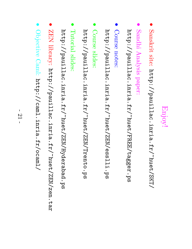### Enjoy!

- $\bullet$ Sanskrit site: http://pauillac.inria.fr/~huet/SKT/
- $\bullet$ Sandhi Analysis paper:

http://pauillac.inria.fr/~huet/FREE/tagger.ps http://pauillac.inria.fr/~huet/FREE/tagger.ps

 $\bullet$ Course notes:

http://pauillac.inria.fr/~huet/ZEN/ess1li.ps http://pauillac.inria.fr/~huet/ZEN/esslli.ps

 $\bullet$ Course slides:

http://pauillac.inria.fr/~huet/ZEN/Trento.ps http://pauillac.inria.fr/~huet/ZEN/Trento.ps

 $\bullet$ Tutorial slides:

http://pauillac.inria.fr/~huet/ZEN/Hyderabad.ps http://pauillac.inria.fr/~huet/ZEN/Hyderabad.ps

- $\bullet$ ZEN library: http://pauillac.inria.fr/~huet/ZEN/zen.tar
- $\bullet$ Objective Caml: http://caml.inria.fr/ocaml/

-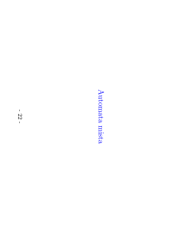- 22<br>24

Automata Automata mista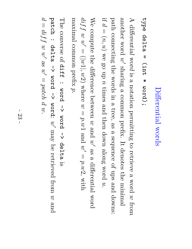# Differential Differential words

#### type delta  $\mathbf{I}$ (int  $\ast$ word);

 $\blacktriangleright$ differential word  $\Xi.$  $\mathbf \varphi$ notation permitting  $\Xi$ retrieve  $\boldsymbol{\omega}$ word  $\mathcal{G}% _{0}$ from another word  $\widetilde{\varepsilon}$ sharing  $\mathbf \varphi$ common prefix.  $\bm{\Pi}$ denotes the minimal path connecting the words in  $\boldsymbol{\omega}$ tree, e<br>S  $\boldsymbol{\omega}$ sequence of ups and downs: if  $\mathcal{Q}$  $\overline{\phantom{a}}$  $(n,$  $\widehat{x}$  $\mathop{\otimes}\limits^{\mathop{\mathsf{M}}\nolimits}$ go up  $\mathcal{S}% _{M_{1},M_{2}}^{\alpha,\beta}(-\varepsilon)=\mathcal{S}_{M_{1},M_{2}}^{\alpha,\beta}(-\varepsilon)$ times and then down along word  $\mathcal{C}$  $\mathbb{N}_\Theta$ compute the difference between  $\mathcal{C}$ and  $\widetilde{\varepsilon}$ e<br>S  $\mathbf \varphi$ differential word

 $di\ddot{f}f$  $\mathcal{C}% _{M_{1},M_{2}}^{\alpha,\beta}$  $\widetilde{\varepsilon}$  $\overline{\phantom{a}}$  $\bigcirc$ 1|,  $\mathcal{C}$  $\widetilde{\mathcal{C}}$ where  $\mathcal{C}$  $\overline{\phantom{a}}$  $p.w$  $\overline{\phantom{0}}$ and  $\widetilde{\varepsilon}$  $\overline{\phantom{a}}$  $p.w$ یم. with maximal common prefix  $\tilde{\mathcal{D}}$ 

The converse of d<br>Fff : word l<br>V word l<br>V delta  $\Xi.$ patch : delta l<br>V word l<br>V word:  $\widetilde{\omega}'$  $\Lambda$ e $\mathrm{U}$ ଚ<br>ଚ retrieved from

 $\varphi$  $\frac{1}{2}$ 

 $di\ddot{f}f$ 

 $\mathcal{C}% _{M_{1},M_{2}}^{\alpha,\beta}$ 

 $\widetilde{\omega}'$ 

e<br>S

 $\widetilde{\varepsilon}$ 

 $\overline{\phantom{a}}$ 

 $patch$ 

 $\varrho$ 

 $\mathcal{C}$ 

 $\mathcal{C}% _{0}^{(n)}:=\mathcal{C}_{0}^{(n)}$ 

and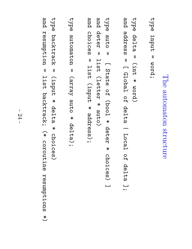# The automaton structure automaton structure

type input  $\mathbf{I}$ word;

type delta  $\mathbf{I}$ (int  $\ast$ word) and address  $\mathbf{I}$  $\Box$ Global O<br>ዙ delta  $\overline{\phantom{0}}$ Local O<br>ዙ delta ىــا<br>• •

type auto  $\mathbf{I}$  $\Box$ ひせい こうしょう こうしゃ こうしゃ こうしゃ こうしゃ こうしゃ こうしゃ こうしゃ O<br>H (bool  $\ast$ deter  $\ast$ choices) ا سا and deter  $\mathbf{I}$ list<br>1<br>1 (letter  $\star$ auto) and choices choices  $\mathbf{I}$ list<br>1<br>1 (input  $\ast$ address);

type automaton  $\mathbf{I}$  $\Lambda$ erra $\lambda$ auto  $\ast$ delta);

type backtrack  $\mathbf{I}$ (input  $\ast$ delta  $\ast$ choices) and resumption  $\mathbf{I}$ list<br>1<br>1 backtrack;  $\widehat{*}$ coroutine resumptions resumptions \*)

-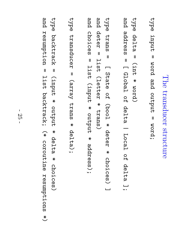# The transducer structure transducer structure

type input  $\mathbf{I}$ word and<br>P output  $\mathbf{I}$ word;

type delta  $\mathbf{I}$ (int  $\ast$ word) and address  $\Box$ Global O<br>ዙ delta  $\overline{\phantom{0}}$ Local

 $\mathbf{I}$ 

O<br>ዙ

delta

ىــا<br>• •

type trans  $\mathbf{I}$  $\Box$ ひせい こうしょう こうしゃ こうしゃ こうしゃ こうしゃ こうしゃ こうしゃ こうしゃ O<br>H (bool  $\ast$ deter  $\ast$ choices) ا سا and deter  $\mathbf{I}$ list<br>1<br>1 (letter  $\star$ trans) and choices (input address);

output

choices

 $\mathbf{I}$ 

list<br>1<br>1

 $\ast$ 

 $\ast$ 

type transducer  $\mathbf{I}$  $\Lambda$ erra $\lambda$ trans  $\ast$ delta);

type backtrack  $\mathbf{I}$ (input  $\ast$ output  $\ast$ delta  $\ast$ choices) and resumption  $\mathbf{I}$ list<br>1<br>1 backtrack;  $\widehat{*}$ coroutine resumptions  $\overset{*}{\smile}$ 

-